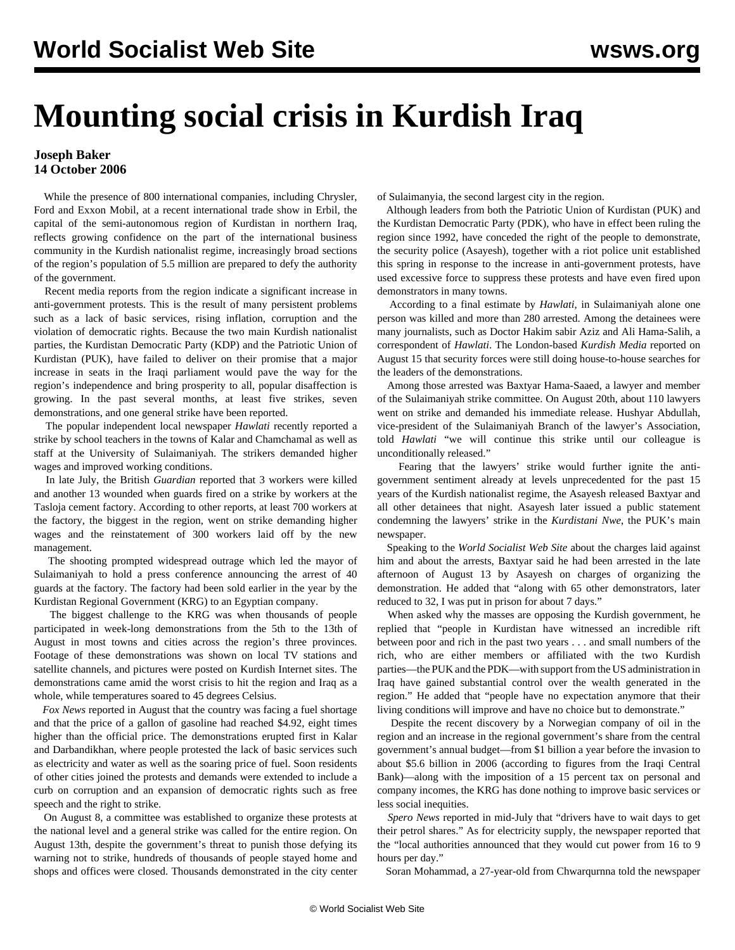## **Mounting social crisis in Kurdish Iraq**

## **Joseph Baker 14 October 2006**

 While the presence of 800 international companies, including Chrysler, Ford and Exxon Mobil, at a recent international trade show in Erbil, the capital of the semi-autonomous region of Kurdistan in northern Iraq, reflects growing confidence on the part of the international business community in the Kurdish nationalist regime, increasingly broad sections of the region's population of 5.5 million are prepared to defy the authority of the government.

 Recent media reports from the region indicate a significant increase in anti-government protests. This is the result of many persistent problems such as a lack of basic services, rising inflation, corruption and the violation of democratic rights. Because the two main Kurdish nationalist parties, the Kurdistan Democratic Party (KDP) and the Patriotic Union of Kurdistan (PUK), have failed to deliver on their promise that a major increase in seats in the Iraqi parliament would pave the way for the region's independence and bring prosperity to all, popular disaffection is growing. In the past several months, at least five strikes, seven demonstrations, and one general strike have been reported.

 The popular independent local newspaper *Hawlati* recently reported a strike by school teachers in the towns of Kalar and Chamchamal as well as staff at the University of Sulaimaniyah. The strikers demanded higher wages and improved working conditions.

 In late July, the British *Guardian* reported that 3 workers were killed and another 13 wounded when guards fired on a strike by workers at the Tasloja cement factory. According to other reports, at least 700 workers at the factory, the biggest in the region, went on strike demanding higher wages and the reinstatement of 300 workers laid off by the new management.

 The shooting prompted widespread outrage which led the mayor of Sulaimaniyah to hold a press conference announcing the arrest of 40 guards at the factory. The factory had been sold earlier in the year by the Kurdistan Regional Government (KRG) to an Egyptian company.

 The biggest challenge to the KRG was when thousands of people participated in week-long demonstrations from the 5th to the 13th of August in most towns and cities across the region's three provinces. Footage of these demonstrations was shown on local TV stations and satellite channels, and pictures were posted on Kurdish Internet sites. The demonstrations came amid the worst crisis to hit the region and Iraq as a whole, while temperatures soared to 45 degrees Celsius.

 *Fox News* reported in August that the country was facing a fuel shortage and that the price of a gallon of gasoline had reached \$4.92, eight times higher than the official price. The demonstrations erupted first in Kalar and Darbandikhan, where people protested the lack of basic services such as electricity and water as well as the soaring price of fuel. Soon residents of other cities joined the protests and demands were extended to include a curb on corruption and an expansion of democratic rights such as free speech and the right to strike.

 On August 8, a committee was established to organize these protests at the national level and a general strike was called for the entire region. On August 13th, despite the government's threat to punish those defying its warning not to strike, hundreds of thousands of people stayed home and shops and offices were closed. Thousands demonstrated in the city center of Sulaimanyia, the second largest city in the region.

 Although leaders from both the Patriotic Union of Kurdistan (PUK) and the Kurdistan Democratic Party (PDK), who have in effect been ruling the region since 1992, have conceded the right of the people to demonstrate, the security police (Asayesh), together with a riot police unit established this spring in response to the increase in anti-government protests, have used excessive force to suppress these protests and have even fired upon demonstrators in many towns.

 According to a final estimate by *Hawlati*, in Sulaimaniyah alone one person was killed and more than 280 arrested. Among the detainees were many journalists, such as Doctor Hakim sabir Aziz and Ali Hama-Salih, a correspondent of *Hawlati*. The London-based *Kurdish Media* reported on August 15 that security forces were still doing house-to-house searches for the leaders of the demonstrations.

 Among those arrested was Baxtyar Hama-Saaed, a lawyer and member of the Sulaimaniyah strike committee. On August 20th, about 110 lawyers went on strike and demanded his immediate release. Hushyar Abdullah, vice-president of the Sulaimaniyah Branch of the lawyer's Association, told *Hawlati* "we will continue this strike until our colleague is unconditionally released."

 Fearing that the lawyers' strike would further ignite the antigovernment sentiment already at levels unprecedented for the past 15 years of the Kurdish nationalist regime, the Asayesh released Baxtyar and all other detainees that night. Asayesh later issued a public statement condemning the lawyers' strike in the *Kurdistani Nwe*, the PUK's main newspaper.

 Speaking to the *World Socialist Web Site* about the charges laid against him and about the arrests, Baxtyar said he had been arrested in the late afternoon of August 13 by Asayesh on charges of organizing the demonstration. He added that "along with 65 other demonstrators, later reduced to 32, I was put in prison for about 7 days."

 When asked why the masses are opposing the Kurdish government, he replied that "people in Kurdistan have witnessed an incredible rift between poor and rich in the past two years . . . and small numbers of the rich, who are either members or affiliated with the two Kurdish parties—the PUK and the PDK—with support from the US administration in Iraq have gained substantial control over the wealth generated in the region." He added that "people have no expectation anymore that their living conditions will improve and have no choice but to demonstrate."

 Despite the recent discovery by a Norwegian company of oil in the region and an increase in the regional government's share from the central government's annual budget—from \$1 billion a year before the invasion to about \$5.6 billion in 2006 (according to figures from the Iraqi Central Bank)—along with the imposition of a 15 percent tax on personal and company incomes, the KRG has done nothing to improve basic services or less social inequities.

 *Spero News* reported in mid-July that "drivers have to wait days to get their petrol shares." As for electricity supply, the newspaper reported that the "local authorities announced that they would cut power from 16 to 9 hours per day."

Soran Mohammad, a 27-year-old from Chwarqurnna told the newspaper